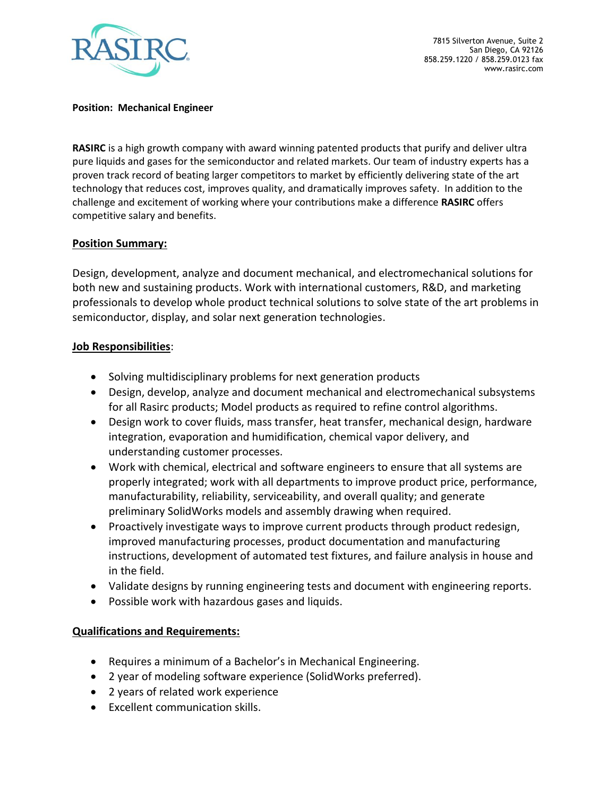

7815 Silverton Avenue, Suite 2 San Diego, CA 92126 858.259.1220 / 858.259.0123 fax www.rasirc.com

## **Position: Mechanical Engineer**

**RASIRC** is a high growth company with award winning patented products that purify and deliver ultra pure liquids and gases for the semiconductor and related markets. Our team of industry experts has a proven track record of beating larger competitors to market by efficiently delivering state of the art technology that reduces cost, improves quality, and dramatically improves safety. In addition to the challenge and excitement of working where your contributions make a difference **RASIRC** offers competitive salary and benefits.

## **Position Summary:**

Design, development, analyze and document mechanical, and electromechanical solutions for both new and sustaining products. Work with international customers, R&D, and marketing professionals to develop whole product technical solutions to solve state of the art problems in semiconductor, display, and solar next generation technologies.

## **Job Responsibilities**:

- Solving multidisciplinary problems for next generation products
- Design, develop, analyze and document mechanical and electromechanical subsystems for all Rasirc products; Model products as required to refine control algorithms.
- Design work to cover fluids, mass transfer, heat transfer, mechanical design, hardware integration, evaporation and humidification, chemical vapor delivery, and understanding customer processes.
- Work with chemical, electrical and software engineers to ensure that all systems are properly integrated; work with all departments to improve product price, performance, manufacturability, reliability, serviceability, and overall quality; and generate preliminary SolidWorks models and assembly drawing when required.
- Proactively investigate ways to improve current products through product redesign, improved manufacturing processes, product documentation and manufacturing instructions, development of automated test fixtures, and failure analysis in house and in the field.
- Validate designs by running engineering tests and document with engineering reports.
- Possible work with hazardous gases and liquids.

## **Qualifications and Requirements:**

- Requires a minimum of a Bachelor's in Mechanical Engineering.
- 2 year of modeling software experience (SolidWorks preferred).
- 2 years of related work experience
- Excellent communication skills.